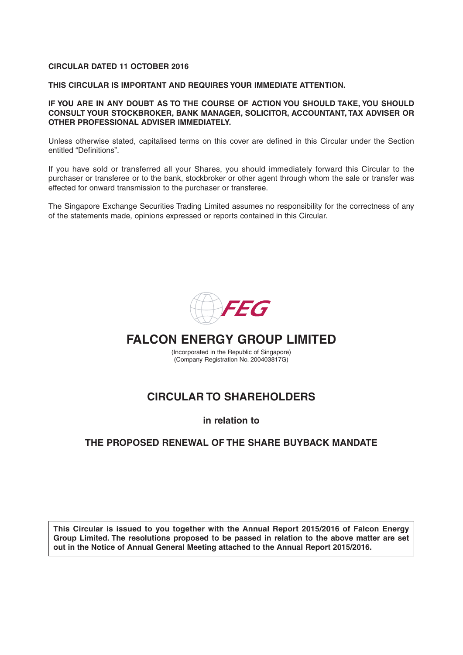#### **CIRCULAR DATED 11 OCTOBER 2016**

**THIS CIRCULAR IS IMPORTANT AND REQUIRES YOUR IMMEDIATE ATTENTION.** 

**IF YOU ARE IN ANY DOUBT AS TO THE COURSE OF ACTION YOU SHOULD TAKE, YOU SHOULD CONSULT YOUR STOCKBROKER, BANK MANAGER, SOLICITOR, ACCOUNTANT, TAX ADVISER OR OTHER PROFESSIONAL ADVISER IMMEDIATELY.**

Unless otherwise stated, capitalised terms on this cover are defined in this Circular under the Section entitled "Definitions".

If you have sold or transferred all your Shares, you should immediately forward this Circular to the purchaser or transferee or to the bank, stockbroker or other agent through whom the sale or transfer was effected for onward transmission to the purchaser or transferee.

The Singapore Exchange Securities Trading Limited assumes no responsibility for the correctness of any of the statements made, opinions expressed or reports contained in this Circular.



# **FALCON ENERGY GROUP LIMITED**

(Incorporated in the Republic of Singapore) (Company Registration No. 200403817G)

# **CIRCULAR TO SHAREHOLDERS**

**in relation to**

## **THE PROPOSED RENEWAL OF THE SHARE BUYBACK MANDATE**

**This Circular is issued to you together with the Annual Report 2015/2016 of Falcon Energy Group Limited. The resolutions proposed to be passed in relation to the above matter are set out in the Notice of Annual General Meeting attached to the Annual Report 2015/2016.**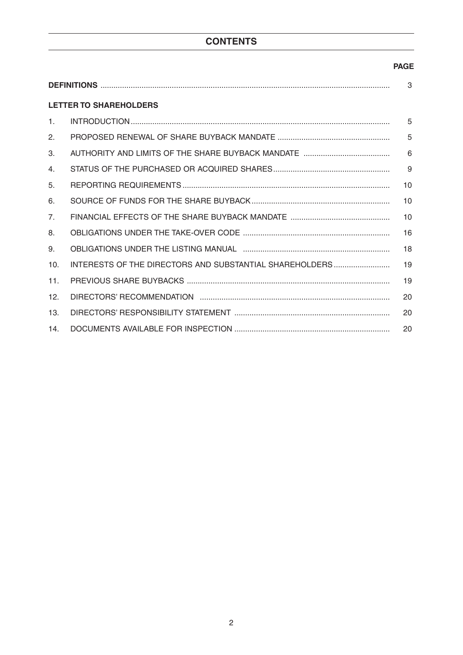# **CONTENTS**

## **PAGE**

| <b>LETTER TO SHAREHOLDERS</b> |                                                         |    |  |  |  |  |
|-------------------------------|---------------------------------------------------------|----|--|--|--|--|
| 1.                            |                                                         | 5  |  |  |  |  |
| 2.                            |                                                         | 5  |  |  |  |  |
| 3.                            |                                                         | 6  |  |  |  |  |
| 4.                            |                                                         | 9  |  |  |  |  |
| 5.                            |                                                         | 10 |  |  |  |  |
| 6.                            |                                                         | 10 |  |  |  |  |
| 7 <sub>1</sub>                |                                                         | 10 |  |  |  |  |
| 8.                            |                                                         | 16 |  |  |  |  |
| 9.                            |                                                         | 18 |  |  |  |  |
| 10 <sub>1</sub>               | INTERESTS OF THE DIRECTORS AND SUBSTANTIAL SHAREHOLDERS | 19 |  |  |  |  |
| 11.                           |                                                         | 19 |  |  |  |  |
| 12.                           |                                                         | 20 |  |  |  |  |
| 13.                           |                                                         | 20 |  |  |  |  |
| 14.                           |                                                         | 20 |  |  |  |  |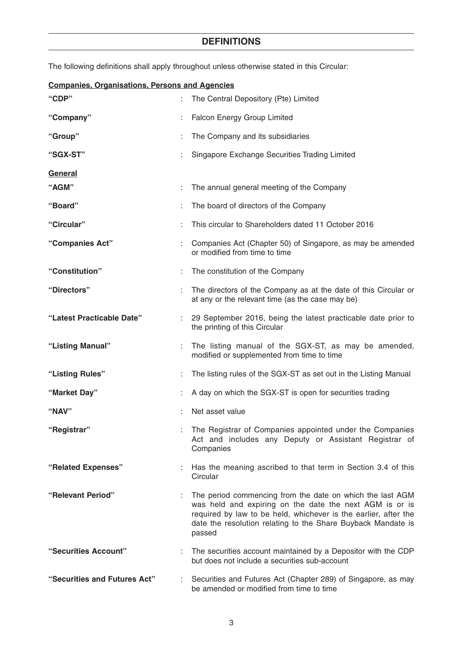# **DEFINITIONS**

The following definitions shall apply throughout unless otherwise stated in this Circular:

| <b>Companies, Organisations, Persons and Agencies</b> |    |                                                                                                                                                                                                                                                                   |  |  |  |  |  |
|-------------------------------------------------------|----|-------------------------------------------------------------------------------------------------------------------------------------------------------------------------------------------------------------------------------------------------------------------|--|--|--|--|--|
| "CDP"                                                 |    | The Central Depository (Pte) Limited                                                                                                                                                                                                                              |  |  |  |  |  |
| "Company"                                             |    | Falcon Energy Group Limited                                                                                                                                                                                                                                       |  |  |  |  |  |
| "Group"                                               |    | The Company and its subsidiaries                                                                                                                                                                                                                                  |  |  |  |  |  |
| "SGX-ST"                                              |    | Singapore Exchange Securities Trading Limited                                                                                                                                                                                                                     |  |  |  |  |  |
| General                                               |    |                                                                                                                                                                                                                                                                   |  |  |  |  |  |
| "AGM"                                                 |    | The annual general meeting of the Company                                                                                                                                                                                                                         |  |  |  |  |  |
| "Board"                                               |    | The board of directors of the Company                                                                                                                                                                                                                             |  |  |  |  |  |
| "Circular"                                            |    | This circular to Shareholders dated 11 October 2016                                                                                                                                                                                                               |  |  |  |  |  |
| "Companies Act"                                       |    | Companies Act (Chapter 50) of Singapore, as may be amended<br>or modified from time to time                                                                                                                                                                       |  |  |  |  |  |
| "Constitution"                                        |    | The constitution of the Company                                                                                                                                                                                                                                   |  |  |  |  |  |
| "Directors"                                           |    | The directors of the Company as at the date of this Circular or<br>at any or the relevant time (as the case may be)                                                                                                                                               |  |  |  |  |  |
| "Latest Practicable Date"                             |    | : 29 September 2016, being the latest practicable date prior to<br>the printing of this Circular                                                                                                                                                                  |  |  |  |  |  |
| "Listing Manual"                                      |    | The listing manual of the SGX-ST, as may be amended,<br>modified or supplemented from time to time                                                                                                                                                                |  |  |  |  |  |
| "Listing Rules"                                       |    | The listing rules of the SGX-ST as set out in the Listing Manual                                                                                                                                                                                                  |  |  |  |  |  |
| "Market Day"                                          |    | A day on which the SGX-ST is open for securities trading                                                                                                                                                                                                          |  |  |  |  |  |
| "NAV"                                                 |    | Net asset value                                                                                                                                                                                                                                                   |  |  |  |  |  |
| "Registrar"                                           |    | : The Registrar of Companies appointed under the Companies<br>Act and includes any Deputy or Assistant Registrar of<br>Companies                                                                                                                                  |  |  |  |  |  |
| "Related Expenses"                                    |    | : Has the meaning ascribed to that term in Section 3.4 of this<br>Circular                                                                                                                                                                                        |  |  |  |  |  |
| "Relevant Period"                                     |    | The period commencing from the date on which the last AGM<br>was held and expiring on the date the next AGM is or is<br>required by law to be held, whichever is the earlier, after the<br>date the resolution relating to the Share Buyback Mandate is<br>passed |  |  |  |  |  |
| "Securities Account"                                  |    | : The securities account maintained by a Depositor with the CDP<br>but does not include a securities sub-account                                                                                                                                                  |  |  |  |  |  |
| "Securities and Futures Act"                          | t. | Securities and Futures Act (Chapter 289) of Singapore, as may<br>be amended or modified from time to time                                                                                                                                                         |  |  |  |  |  |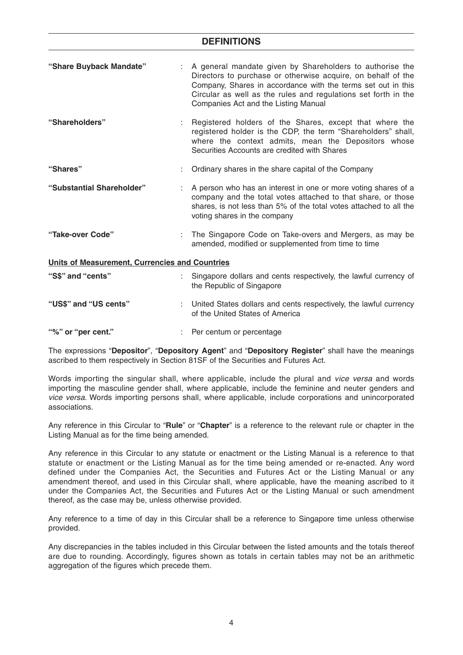## **DEFINITIONS**

| "Share Buyback Mandate"                        | A general mandate given by Shareholders to authorise the<br>Directors to purchase or otherwise acquire, on behalf of the<br>Company, Shares in accordance with the terms set out in this<br>Circular as well as the rules and regulations set forth in the<br>Companies Act and the Listing Manual |
|------------------------------------------------|----------------------------------------------------------------------------------------------------------------------------------------------------------------------------------------------------------------------------------------------------------------------------------------------------|
| "Shareholders"                                 | Registered holders of the Shares, except that where the<br>registered holder is the CDP, the term "Shareholders" shall,<br>where the context admits, mean the Depositors whose<br>Securities Accounts are credited with Shares                                                                     |
| "Shares"                                       | : Ordinary shares in the share capital of the Company                                                                                                                                                                                                                                              |
| "Substantial Shareholder"                      | A person who has an interest in one or more voting shares of a<br>company and the total votes attached to that share, or those<br>shares, is not less than 5% of the total votes attached to all the<br>voting shares in the company                                                               |
| "Take-over Code"                               | The Singapore Code on Take-overs and Mergers, as may be<br>amended, modified or supplemented from time to time                                                                                                                                                                                     |
| Units of Measurement, Currencies and Countries |                                                                                                                                                                                                                                                                                                    |
| "S\$" and "cents"                              | Singapore dollars and cents respectively, the lawful currency of<br>the Republic of Singapore                                                                                                                                                                                                      |
| "US\$" and "US cents"                          | : United States dollars and cents respectively, the lawful currency<br>of the United States of America                                                                                                                                                                                             |
| "%" or "per cent."                             | Per centum or percentage                                                                                                                                                                                                                                                                           |

The expressions "**Depositor**", "**Depository Agent**" and "**Depository Register**" shall have the meanings ascribed to them respectively in Section 81SF of the Securities and Futures Act.

Words importing the singular shall, where applicable, include the plural and vice versa and words importing the masculine gender shall, where applicable, include the feminine and neuter genders and vice versa. Words importing persons shall, where applicable, include corporations and unincorporated associations.

Any reference in this Circular to "**Rule**" or "**Chapter**" is a reference to the relevant rule or chapter in the Listing Manual as for the time being amended.

Any reference in this Circular to any statute or enactment or the Listing Manual is a reference to that statute or enactment or the Listing Manual as for the time being amended or re-enacted. Any word defined under the Companies Act, the Securities and Futures Act or the Listing Manual or any amendment thereof, and used in this Circular shall, where applicable, have the meaning ascribed to it under the Companies Act, the Securities and Futures Act or the Listing Manual or such amendment thereof, as the case may be, unless otherwise provided.

Any reference to a time of day in this Circular shall be a reference to Singapore time unless otherwise provided.

Any discrepancies in the tables included in this Circular between the listed amounts and the totals thereof are due to rounding. Accordingly, figures shown as totals in certain tables may not be an arithmetic aggregation of the figures which precede them.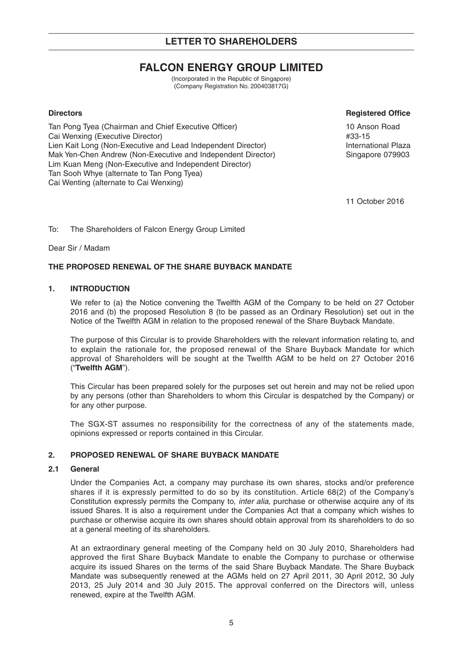# **FALCON ENERGY GROUP LIMITED**

(Incorporated in the Republic of Singapore) (Company Registration No. 200403817G)

Tan Pong Tyea (Chairman and Chief Executive Officer) 10 Anson Road Cai Wenxing (Executive Director) **Alternative Cai Wenxing (Executive Director) #33-15** Lien Kait Long (Non-Executive and Lead Independent Director) **International Plaza** Mak Yen-Chen Andrew (Non-Executive and Independent Director) Singapore 079903 Lim Kuan Meng (Non-Executive and Independent Director) Tan Sooh Whye (alternate to Tan Pong Tyea) Cai Wenting (alternate to Cai Wenxing)

#### **Directors Registered Office**

11 October 2016

To: The Shareholders of Falcon Energy Group Limited

Dear Sir / Madam

## **THE PROPOSED RENEWAL OF THE SHARE BUYBACK MANDATE**

#### **1. INTRODUCTION**

We refer to (a) the Notice convening the Twelfth AGM of the Company to be held on 27 October 2016 and (b) the proposed Resolution 8 (to be passed as an Ordinary Resolution) set out in the Notice of the Twelfth AGM in relation to the proposed renewal of the Share Buyback Mandate.

The purpose of this Circular is to provide Shareholders with the relevant information relating to, and to explain the rationale for, the proposed renewal of the Share Buyback Mandate for which approval of Shareholders will be sought at the Twelfth AGM to be held on 27 October 2016 ("**Twelfth AGM**").

This Circular has been prepared solely for the purposes set out herein and may not be relied upon by any persons (other than Shareholders to whom this Circular is despatched by the Company) or for any other purpose.

The SGX-ST assumes no responsibility for the correctness of any of the statements made, opinions expressed or reports contained in this Circular.

## **2. PROPOSED RENEWAL OF SHARE BUYBACK MANDATE**

#### **2.1 General**

Under the Companies Act, a company may purchase its own shares, stocks and/or preference shares if it is expressly permitted to do so by its constitution. Article 68(2) of the Company's Constitution expressly permits the Company to, inter alia, purchase or otherwise acquire any of its issued Shares. It is also a requirement under the Companies Act that a company which wishes to purchase or otherwise acquire its own shares should obtain approval from its shareholders to do so at a general meeting of its shareholders.

At an extraordinary general meeting of the Company held on 30 July 2010, Shareholders had approved the first Share Buyback Mandate to enable the Company to purchase or otherwise acquire its issued Shares on the terms of the said Share Buyback Mandate. The Share Buyback Mandate was subsequently renewed at the AGMs held on 27 April 2011, 30 April 2012, 30 July 2013, 25 July 2014 and 30 July 2015. The approval conferred on the Directors will, unless renewed, expire at the Twelfth AGM.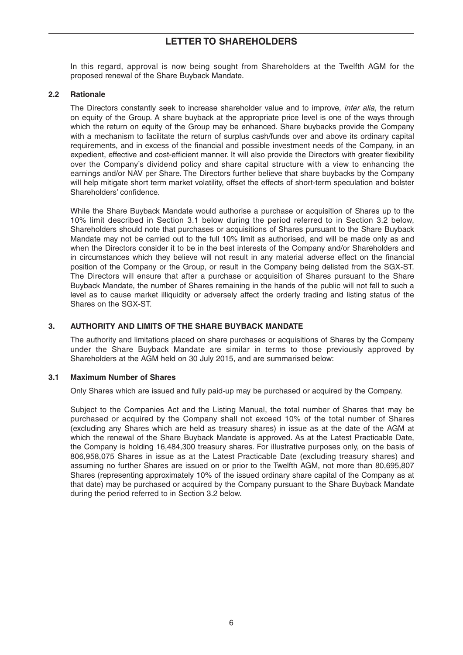In this regard, approval is now being sought from Shareholders at the Twelfth AGM for the proposed renewal of the Share Buyback Mandate.

#### **2.2 Rationale**

The Directors constantly seek to increase shareholder value and to improve, *inter alia*, the return on equity of the Group. A share buyback at the appropriate price level is one of the ways through which the return on equity of the Group may be enhanced. Share buybacks provide the Company with a mechanism to facilitate the return of surplus cash/funds over and above its ordinary capital requirements, and in excess of the financial and possible investment needs of the Company, in an expedient, effective and cost-efficient manner. It will also provide the Directors with greater flexibility over the Company's dividend policy and share capital structure with a view to enhancing the earnings and/or NAV per Share. The Directors further believe that share buybacks by the Company will help mitigate short term market volatility, offset the effects of short-term speculation and bolster Shareholders' confidence.

While the Share Buyback Mandate would authorise a purchase or acquisition of Shares up to the 10% limit described in Section 3.1 below during the period referred to in Section 3.2 below, Shareholders should note that purchases or acquisitions of Shares pursuant to the Share Buyback Mandate may not be carried out to the full 10% limit as authorised, and will be made only as and when the Directors consider it to be in the best interests of the Company and/or Shareholders and in circumstances which they believe will not result in any material adverse effect on the financial position of the Company or the Group, or result in the Company being delisted from the SGX-ST. The Directors will ensure that after a purchase or acquisition of Shares pursuant to the Share Buyback Mandate, the number of Shares remaining in the hands of the public will not fall to such a level as to cause market illiquidity or adversely affect the orderly trading and listing status of the Shares on the SGX-ST.

#### **3. AUTHORITY AND LIMITS OF THE SHARE BUYBACK MANDATE**

The authority and limitations placed on share purchases or acquisitions of Shares by the Company under the Share Buyback Mandate are similar in terms to those previously approved by Shareholders at the AGM held on 30 July 2015, and are summarised below:

#### **3.1 Maximum Number of Shares**

Only Shares which are issued and fully paid-up may be purchased or acquired by the Company.

Subject to the Companies Act and the Listing Manual, the total number of Shares that may be purchased or acquired by the Company shall not exceed 10% of the total number of Shares (excluding any Shares which are held as treasury shares) in issue as at the date of the AGM at which the renewal of the Share Buyback Mandate is approved. As at the Latest Practicable Date, the Company is holding 16,484,300 treasury shares. For illustrative purposes only, on the basis of 806,958,075 Shares in issue as at the Latest Practicable Date (excluding treasury shares) and assuming no further Shares are issued on or prior to the Twelfth AGM, not more than 80,695,807 Shares (representing approximately 10% of the issued ordinary share capital of the Company as at that date) may be purchased or acquired by the Company pursuant to the Share Buyback Mandate during the period referred to in Section 3.2 below.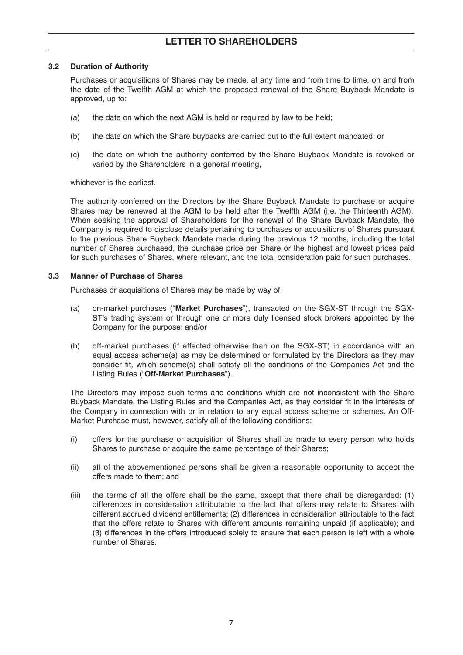#### **3.2 Duration of Authority**

Purchases or acquisitions of Shares may be made, at any time and from time to time, on and from the date of the Twelfth AGM at which the proposed renewal of the Share Buyback Mandate is approved, up to:

- (a) the date on which the next AGM is held or required by law to be held;
- (b) the date on which the Share buybacks are carried out to the full extent mandated; or
- (c) the date on which the authority conferred by the Share Buyback Mandate is revoked or varied by the Shareholders in a general meeting,

whichever is the earliest.

The authority conferred on the Directors by the Share Buyback Mandate to purchase or acquire Shares may be renewed at the AGM to be held after the Twelfth AGM (i.e. the Thirteenth AGM). When seeking the approval of Shareholders for the renewal of the Share Buyback Mandate, the Company is required to disclose details pertaining to purchases or acquisitions of Shares pursuant to the previous Share Buyback Mandate made during the previous 12 months, including the total number of Shares purchased, the purchase price per Share or the highest and lowest prices paid for such purchases of Shares, where relevant, and the total consideration paid for such purchases.

#### **3.3 Manner of Purchase of Shares**

Purchases or acquisitions of Shares may be made by way of:

- (a) on-market purchases ("**Market Purchases**"), transacted on the SGX-ST through the SGX-ST's trading system or through one or more duly licensed stock brokers appointed by the Company for the purpose; and/or
- (b) off-market purchases (if effected otherwise than on the SGX-ST) in accordance with an equal access scheme(s) as may be determined or formulated by the Directors as they may consider fit, which scheme(s) shall satisfy all the conditions of the Companies Act and the Listing Rules ("**Off-Market Purchases**").

The Directors may impose such terms and conditions which are not inconsistent with the Share Buyback Mandate, the Listing Rules and the Companies Act, as they consider fit in the interests of the Company in connection with or in relation to any equal access scheme or schemes. An Off-Market Purchase must, however, satisfy all of the following conditions:

- (i) offers for the purchase or acquisition of Shares shall be made to every person who holds Shares to purchase or acquire the same percentage of their Shares;
- (ii) all of the abovementioned persons shall be given a reasonable opportunity to accept the offers made to them; and
- (iii) the terms of all the offers shall be the same, except that there shall be disregarded: (1) differences in consideration attributable to the fact that offers may relate to Shares with different accrued dividend entitlements; (2) differences in consideration attributable to the fact that the offers relate to Shares with different amounts remaining unpaid (if applicable); and (3) differences in the offers introduced solely to ensure that each person is left with a whole number of Shares.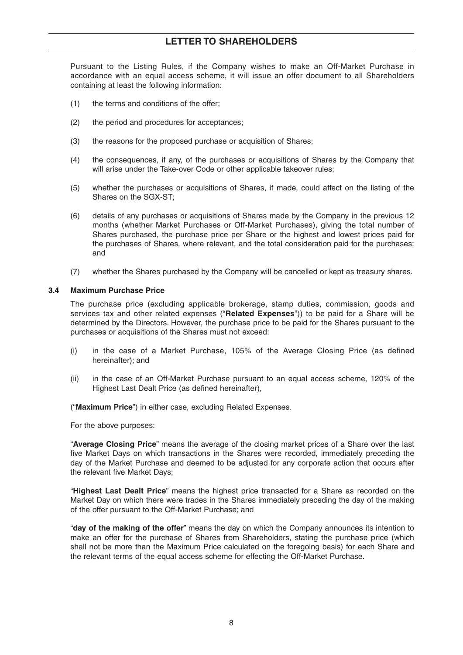Pursuant to the Listing Rules, if the Company wishes to make an Off-Market Purchase in accordance with an equal access scheme, it will issue an offer document to all Shareholders containing at least the following information:

- (1) the terms and conditions of the offer;
- (2) the period and procedures for acceptances;
- (3) the reasons for the proposed purchase or acquisition of Shares;
- (4) the consequences, if any, of the purchases or acquisitions of Shares by the Company that will arise under the Take-over Code or other applicable takeover rules;
- (5) whether the purchases or acquisitions of Shares, if made, could affect on the listing of the Shares on the SGX-ST;
- (6) details of any purchases or acquisitions of Shares made by the Company in the previous 12 months (whether Market Purchases or Off-Market Purchases), giving the total number of Shares purchased, the purchase price per Share or the highest and lowest prices paid for the purchases of Shares, where relevant, and the total consideration paid for the purchases; and
- (7) whether the Shares purchased by the Company will be cancelled or kept as treasury shares.

#### **3.4 Maximum Purchase Price**

The purchase price (excluding applicable brokerage, stamp duties, commission, goods and services tax and other related expenses ("**Related Expenses**")) to be paid for a Share will be determined by the Directors. However, the purchase price to be paid for the Shares pursuant to the purchases or acquisitions of the Shares must not exceed:

- (i) in the case of a Market Purchase, 105% of the Average Closing Price (as defined hereinafter); and
- (ii) in the case of an Off-Market Purchase pursuant to an equal access scheme, 120% of the Highest Last Dealt Price (as defined hereinafter),

("**Maximum Price**") in either case, excluding Related Expenses.

For the above purposes:

"**Average Closing Price**" means the average of the closing market prices of a Share over the last five Market Days on which transactions in the Shares were recorded, immediately preceding the day of the Market Purchase and deemed to be adjusted for any corporate action that occurs after the relevant five Market Days;

"**Highest Last Dealt Price**" means the highest price transacted for a Share as recorded on the Market Day on which there were trades in the Shares immediately preceding the day of the making of the offer pursuant to the Off-Market Purchase; and

"**day of the making of the offer**" means the day on which the Company announces its intention to make an offer for the purchase of Shares from Shareholders, stating the purchase price (which shall not be more than the Maximum Price calculated on the foregoing basis) for each Share and the relevant terms of the equal access scheme for effecting the Off-Market Purchase.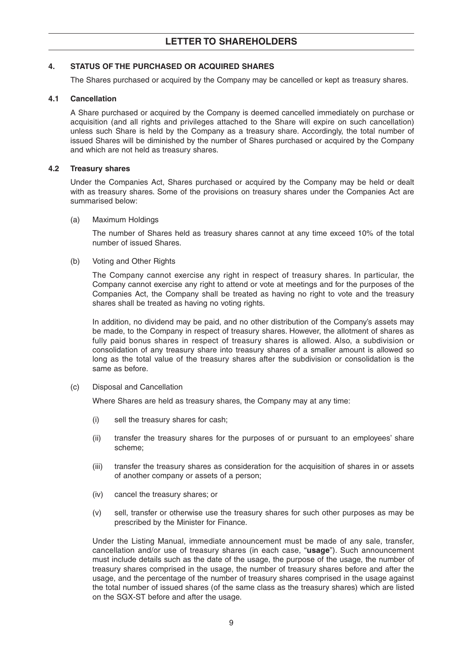#### **4. STATUS OF THE PURCHASED OR ACQUIRED SHARES**

The Shares purchased or acquired by the Company may be cancelled or kept as treasury shares.

#### **4.1 Cancellation**

A Share purchased or acquired by the Company is deemed cancelled immediately on purchase or acquisition (and all rights and privileges attached to the Share will expire on such cancellation) unless such Share is held by the Company as a treasury share. Accordingly, the total number of issued Shares will be diminished by the number of Shares purchased or acquired by the Company and which are not held as treasury shares.

#### **4.2 Treasury shares**

Under the Companies Act, Shares purchased or acquired by the Company may be held or dealt with as treasury shares. Some of the provisions on treasury shares under the Companies Act are summarised below:

(a) Maximum Holdings

The number of Shares held as treasury shares cannot at any time exceed 10% of the total number of issued Shares.

(b) Voting and Other Rights

The Company cannot exercise any right in respect of treasury shares. In particular, the Company cannot exercise any right to attend or vote at meetings and for the purposes of the Companies Act, the Company shall be treated as having no right to vote and the treasury shares shall be treated as having no voting rights.

In addition, no dividend may be paid, and no other distribution of the Company's assets may be made, to the Company in respect of treasury shares. However, the allotment of shares as fully paid bonus shares in respect of treasury shares is allowed. Also, a subdivision or consolidation of any treasury share into treasury shares of a smaller amount is allowed so long as the total value of the treasury shares after the subdivision or consolidation is the same as before.

(c) Disposal and Cancellation

Where Shares are held as treasury shares, the Company may at any time:

- (i) sell the treasury shares for cash;
- (ii) transfer the treasury shares for the purposes of or pursuant to an employees' share scheme;
- (iii) transfer the treasury shares as consideration for the acquisition of shares in or assets of another company or assets of a person;
- (iv) cancel the treasury shares; or
- (v) sell, transfer or otherwise use the treasury shares for such other purposes as may be prescribed by the Minister for Finance.

Under the Listing Manual, immediate announcement must be made of any sale, transfer, cancellation and/or use of treasury shares (in each case, "**usage**"). Such announcement must include details such as the date of the usage, the purpose of the usage, the number of treasury shares comprised in the usage, the number of treasury shares before and after the usage, and the percentage of the number of treasury shares comprised in the usage against the total number of issued shares (of the same class as the treasury shares) which are listed on the SGX-ST before and after the usage.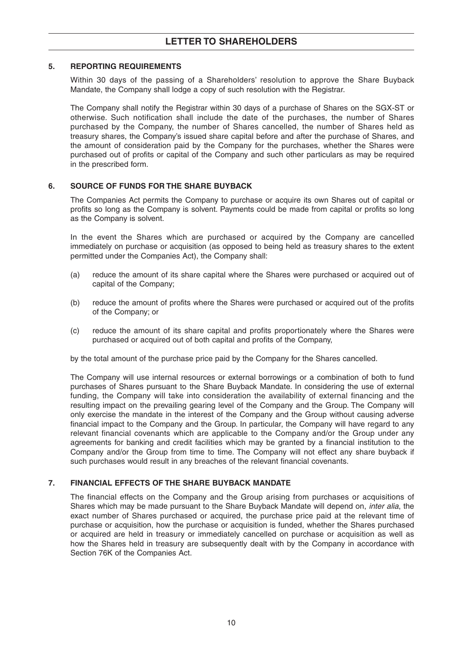#### **5. REPORTING REQUIREMENTS**

Within 30 days of the passing of a Shareholders' resolution to approve the Share Buyback Mandate, the Company shall lodge a copy of such resolution with the Registrar.

The Company shall notify the Registrar within 30 days of a purchase of Shares on the SGX-ST or otherwise. Such notification shall include the date of the purchases, the number of Shares purchased by the Company, the number of Shares cancelled, the number of Shares held as treasury shares, the Company's issued share capital before and after the purchase of Shares, and the amount of consideration paid by the Company for the purchases, whether the Shares were purchased out of profits or capital of the Company and such other particulars as may be required in the prescribed form.

## **6. SOURCE OF FUNDS FOR THE SHARE BUYBACK**

The Companies Act permits the Company to purchase or acquire its own Shares out of capital or profits so long as the Company is solvent. Payments could be made from capital or profits so long as the Company is solvent.

In the event the Shares which are purchased or acquired by the Company are cancelled immediately on purchase or acquisition (as opposed to being held as treasury shares to the extent permitted under the Companies Act), the Company shall:

- (a) reduce the amount of its share capital where the Shares were purchased or acquired out of capital of the Company;
- (b) reduce the amount of profits where the Shares were purchased or acquired out of the profits of the Company; or
- (c) reduce the amount of its share capital and profits proportionately where the Shares were purchased or acquired out of both capital and profits of the Company,

by the total amount of the purchase price paid by the Company for the Shares cancelled.

The Company will use internal resources or external borrowings or a combination of both to fund purchases of Shares pursuant to the Share Buyback Mandate. In considering the use of external funding, the Company will take into consideration the availability of external financing and the resulting impact on the prevailing gearing level of the Company and the Group. The Company will only exercise the mandate in the interest of the Company and the Group without causing adverse financial impact to the Company and the Group. In particular, the Company will have regard to any relevant financial covenants which are applicable to the Company and/or the Group under any agreements for banking and credit facilities which may be granted by a financial institution to the Company and/or the Group from time to time. The Company will not effect any share buyback if such purchases would result in any breaches of the relevant financial covenants.

#### **7. FINANCIAL EFFECTS OF THE SHARE BUYBACK MANDATE**

The financial effects on the Company and the Group arising from purchases or acquisitions of Shares which may be made pursuant to the Share Buyback Mandate will depend on, inter alia, the exact number of Shares purchased or acquired, the purchase price paid at the relevant time of purchase or acquisition, how the purchase or acquisition is funded, whether the Shares purchased or acquired are held in treasury or immediately cancelled on purchase or acquisition as well as how the Shares held in treasury are subsequently dealt with by the Company in accordance with Section 76K of the Companies Act.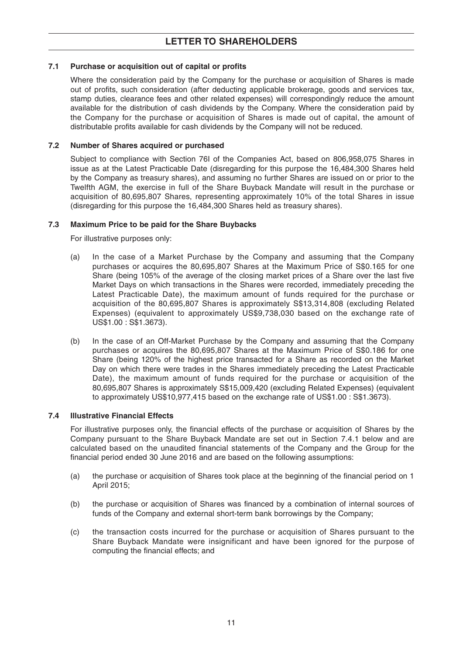## **7.1 Purchase or acquisition out of capital or profits**

Where the consideration paid by the Company for the purchase or acquisition of Shares is made out of profits, such consideration (after deducting applicable brokerage, goods and services tax, stamp duties, clearance fees and other related expenses) will correspondingly reduce the amount available for the distribution of cash dividends by the Company. Where the consideration paid by the Company for the purchase or acquisition of Shares is made out of capital, the amount of distributable profits available for cash dividends by the Company will not be reduced.

#### **7.2 Number of Shares acquired or purchased**

Subject to compliance with Section 76I of the Companies Act, based on 806,958,075 Shares in issue as at the Latest Practicable Date (disregarding for this purpose the 16,484,300 Shares held by the Company as treasury shares), and assuming no further Shares are issued on or prior to the Twelfth AGM, the exercise in full of the Share Buyback Mandate will result in the purchase or acquisition of 80,695,807 Shares, representing approximately 10% of the total Shares in issue (disregarding for this purpose the 16,484,300 Shares held as treasury shares).

#### **7.3 Maximum Price to be paid for the Share Buybacks**

For illustrative purposes only:

- (a) In the case of a Market Purchase by the Company and assuming that the Company purchases or acquires the 80,695,807 Shares at the Maximum Price of S\$0.165 for one Share (being 105% of the average of the closing market prices of a Share over the last five Market Days on which transactions in the Shares were recorded, immediately preceding the Latest Practicable Date), the maximum amount of funds required for the purchase or acquisition of the 80,695,807 Shares is approximately S\$13,314,808 (excluding Related Expenses) (equivalent to approximately US\$9,738,030 based on the exchange rate of US\$1.00 : S\$1.3673).
- (b) In the case of an Off-Market Purchase by the Company and assuming that the Company purchases or acquires the 80,695,807 Shares at the Maximum Price of S\$0.186 for one Share (being 120% of the highest price transacted for a Share as recorded on the Market Day on which there were trades in the Shares immediately preceding the Latest Practicable Date), the maximum amount of funds required for the purchase or acquisition of the 80,695,807 Shares is approximately S\$15,009,420 (excluding Related Expenses) (equivalent to approximately US\$10,977,415 based on the exchange rate of US\$1.00 : S\$1.3673).

#### **7.4 Illustrative Financial Effects**

For illustrative purposes only, the financial effects of the purchase or acquisition of Shares by the Company pursuant to the Share Buyback Mandate are set out in Section 7.4.1 below and are calculated based on the unaudited financial statements of the Company and the Group for the financial period ended 30 June 2016 and are based on the following assumptions:

- (a) the purchase or acquisition of Shares took place at the beginning of the financial period on 1 April 2015;
- (b) the purchase or acquisition of Shares was financed by a combination of internal sources of funds of the Company and external short-term bank borrowings by the Company;
- (c) the transaction costs incurred for the purchase or acquisition of Shares pursuant to the Share Buyback Mandate were insignificant and have been ignored for the purpose of computing the financial effects; and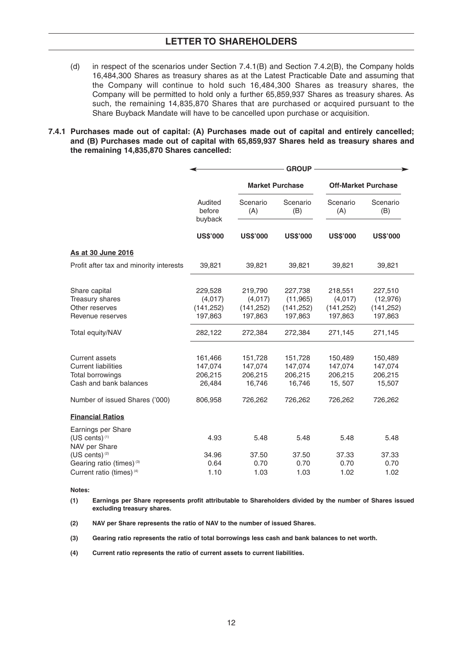- (d) in respect of the scenarios under Section 7.4.1(B) and Section 7.4.2(B), the Company holds 16,484,300 Shares as treasury shares as at the Latest Practicable Date and assuming that the Company will continue to hold such 16,484,300 Shares as treasury shares, the Company will be permitted to hold only a further 65,859,937 Shares as treasury shares. As such, the remaining 14,835,870 Shares that are purchased or acquired pursuant to the Share Buyback Mandate will have to be cancelled upon purchase or acquisition.
- **7.4.1 Purchases made out of capital: (A) Purchases made out of capital and entirely cancelled; and (B) Purchases made out of capital with 65,859,937 Shares held as treasury shares and the remaining 14,835,870 Shares cancelled:**

|                                                                                                   |                                             | <b>GROUP</b>                                |                                               |                                             |                                               |  |
|---------------------------------------------------------------------------------------------------|---------------------------------------------|---------------------------------------------|-----------------------------------------------|---------------------------------------------|-----------------------------------------------|--|
|                                                                                                   |                                             | <b>Market Purchase</b>                      |                                               | <b>Off-Market Purchase</b>                  |                                               |  |
|                                                                                                   | Audited<br>before<br>buyback                | Scenario<br>(A)                             | Scenario<br>(B)                               | Scenario<br>(A)                             | Scenario<br>(B)                               |  |
|                                                                                                   | <b>US\$'000</b>                             | <b>US\$'000</b>                             | <b>US\$'000</b>                               | <b>US\$'000</b>                             | <b>US\$'000</b>                               |  |
| As at 30 June 2016                                                                                |                                             |                                             |                                               |                                             |                                               |  |
| Profit after tax and minority interests                                                           | 39,821                                      | 39,821                                      | 39,821                                        | 39,821                                      | 39,821                                        |  |
| Share capital<br>Treasury shares<br>Other reserves<br>Revenue reserves                            | 229,528<br>(4,017)<br>(141, 252)<br>197,863 | 219,790<br>(4,017)<br>(141, 252)<br>197,863 | 227,738<br>(11, 965)<br>(141, 252)<br>197,863 | 218,551<br>(4,017)<br>(141, 252)<br>197,863 | 227,510<br>(12, 976)<br>(141, 252)<br>197,863 |  |
| Total equity/NAV                                                                                  | 282,122                                     | 272,384                                     | 272,384                                       | 271,145                                     | 271,145                                       |  |
| <b>Current assets</b><br><b>Current liabilities</b><br>Total borrowings<br>Cash and bank balances | 161,466<br>147,074<br>206,215<br>26,484     | 151,728<br>147,074<br>206,215<br>16,746     | 151,728<br>147,074<br>206,215<br>16,746       | 150,489<br>147,074<br>206,215<br>15, 507    | 150,489<br>147,074<br>206,215<br>15,507       |  |
| Number of issued Shares ('000)                                                                    | 806,958                                     | 726,262                                     | 726,262                                       | 726,262                                     | 726,262                                       |  |
| <b>Financial Ratios</b>                                                                           |                                             |                                             |                                               |                                             |                                               |  |
| Earnings per Share<br>(US cents) <sup>(1)</sup><br>NAV per Share                                  | 4.93                                        | 5.48                                        | 5.48                                          | 5.48                                        | 5.48                                          |  |
| (US cents) <sup>(2)</sup>                                                                         | 34.96                                       | 37.50                                       | 37.50                                         | 37.33                                       | 37.33                                         |  |
| Gearing ratio (times) <sup>(3)</sup><br>Current ratio (times) <sup>(4)</sup>                      | 0.64<br>1.10                                | 0.70<br>1.03                                | 0.70<br>1.03                                  | 0.70<br>1.02                                | 0.70<br>1.02                                  |  |

**Notes:**

- **(1) Earnings per Share represents profit attributable to Shareholders divided by the number of Shares issued excluding treasury shares.**
- **(2) NAV per Share represents the ratio of NAV to the number of issued Shares.**
- **(3) Gearing ratio represents the ratio of total borrowings less cash and bank balances to net worth.**
- **(4) Current ratio represents the ratio of current assets to current liabilities.**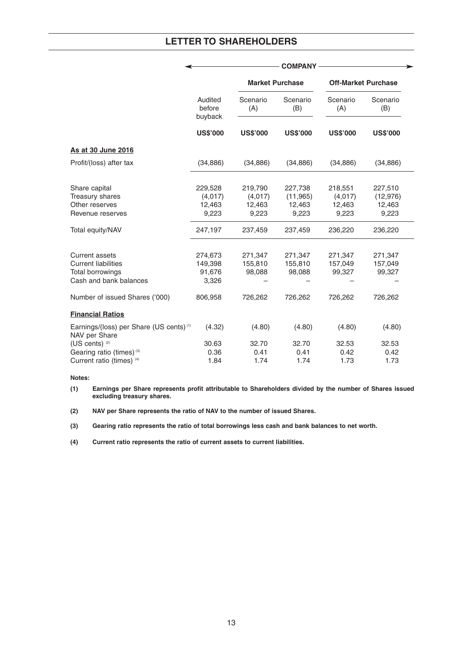|                                                                                                   | <b>COMPANY</b>                        |                              |                              |                              |                              |  |
|---------------------------------------------------------------------------------------------------|---------------------------------------|------------------------------|------------------------------|------------------------------|------------------------------|--|
|                                                                                                   |                                       | <b>Market Purchase</b>       |                              | <b>Off-Market Purchase</b>   |                              |  |
|                                                                                                   | Audited<br>before<br>buyback          | Scenario<br>(A)              | Scenario<br>(B)              | Scenario<br>(A)              | Scenario<br>(B)              |  |
|                                                                                                   | <b>US\$'000</b>                       | <b>US\$'000</b>              | <b>US\$'000</b>              | <b>US\$'000</b>              | <b>US\$'000</b>              |  |
| As at 30 June 2016                                                                                |                                       |                              |                              |                              |                              |  |
| Profit/(loss) after tax                                                                           | (34, 886)                             | (34, 886)                    | (34, 886)                    | (34, 886)                    | (34, 886)                    |  |
| Share capital                                                                                     | 229,528                               | 219,790                      | 227,738                      | 218,551                      | 227,510                      |  |
| Treasury shares<br>Other reserves                                                                 | (4,017)<br>12,463                     | (4,017)<br>12,463            | (11, 965)<br>12,463          | (4,017)<br>12,463            | (12, 976)<br>12,463          |  |
| Revenue reserves                                                                                  | 9,223                                 | 9,223                        | 9,223                        | 9,223                        | 9,223                        |  |
| Total equity/NAV                                                                                  | 247,197                               | 237,459                      | 237,459                      | 236,220                      | 236,220                      |  |
| <b>Current assets</b><br><b>Current liabilities</b><br>Total borrowings<br>Cash and bank balances | 274,673<br>149,398<br>91,676<br>3,326 | 271,347<br>155,810<br>98,088 | 271,347<br>155,810<br>98,088 | 271,347<br>157,049<br>99,327 | 271,347<br>157,049<br>99,327 |  |
| Number of issued Shares ('000)                                                                    | 806,958                               | 726,262                      | 726,262                      | 726,262                      | 726,262                      |  |
| <b>Financial Ratios</b>                                                                           |                                       |                              |                              |                              |                              |  |
| Earnings/(loss) per Share (US cents) <sup>(1)</sup><br>NAV per Share                              | (4.32)                                | (4.80)                       | (4.80)                       | (4.80)                       | (4.80)                       |  |
| (US cents) <sup>(2)</sup>                                                                         | 30.63                                 | 32.70                        | 32.70                        | 32.53                        | 32.53                        |  |
| Gearing ratio (times) <sup>(3)</sup>                                                              | 0.36                                  | 0.41                         | 0.41                         | 0.42                         | 0.42                         |  |
| Current ratio (times) (4)                                                                         | 1.84                                  | 1.74                         | 1.74                         | 1.73                         | 1.73                         |  |

#### **Notes:**

- **(1) Earnings per Share represents profit attributable to Shareholders divided by the number of Shares issued excluding treasury shares.**
- **(2) NAV per Share represents the ratio of NAV to the number of issued Shares.**

**(3) Gearing ratio represents the ratio of total borrowings less cash and bank balances to net worth.**

**(4) Current ratio represents the ratio of current assets to current liabilities.**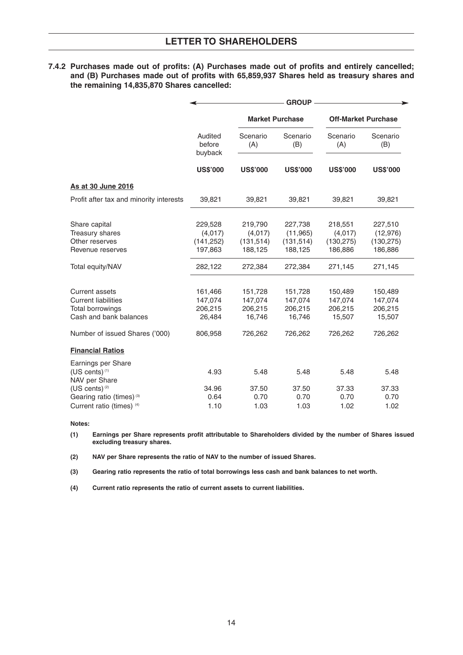**7.4.2 Purchases made out of profits: (A) Purchases made out of profits and entirely cancelled; and (B) Purchases made out of profits with 65,859,937 Shares held as treasury shares and the remaining 14,835,870 Shares cancelled:**

|                                                                                                   | <b>GROUP</b>                                |                                             |                                               |                                             |                                               |  |
|---------------------------------------------------------------------------------------------------|---------------------------------------------|---------------------------------------------|-----------------------------------------------|---------------------------------------------|-----------------------------------------------|--|
|                                                                                                   |                                             | <b>Market Purchase</b>                      |                                               | <b>Off-Market Purchase</b>                  |                                               |  |
|                                                                                                   | Audited<br>before<br>buyback                | Scenario<br>(A)                             | Scenario<br>(B)                               | Scenario<br>(A)                             | Scenario<br>(B)                               |  |
|                                                                                                   | <b>US\$'000</b>                             | <b>US\$'000</b>                             | <b>US\$'000</b>                               | <b>US\$'000</b>                             | <b>US\$'000</b>                               |  |
| As at 30 June 2016                                                                                |                                             |                                             |                                               |                                             |                                               |  |
| Profit after tax and minority interests                                                           | 39,821                                      | 39,821                                      | 39,821                                        | 39,821                                      | 39,821                                        |  |
| Share capital<br>Treasury shares<br>Other reserves<br>Revenue reserves                            | 229,528<br>(4,017)<br>(141, 252)<br>197,863 | 219,790<br>(4,017)<br>(131, 514)<br>188,125 | 227,738<br>(11, 965)<br>(131, 514)<br>188,125 | 218,551<br>(4,017)<br>(130, 275)<br>186,886 | 227,510<br>(12, 976)<br>(130, 275)<br>186,886 |  |
| Total equity/NAV                                                                                  | 282,122                                     | 272,384                                     | 272,384                                       | 271,145                                     | 271,145                                       |  |
| <b>Current assets</b><br><b>Current liabilities</b><br>Total borrowings<br>Cash and bank balances | 161,466<br>147,074<br>206,215<br>26,484     | 151,728<br>147,074<br>206,215<br>16,746     | 151,728<br>147,074<br>206,215<br>16,746       | 150,489<br>147,074<br>206,215<br>15,507     | 150,489<br>147,074<br>206,215<br>15,507       |  |
| Number of issued Shares ('000)                                                                    | 806,958                                     | 726,262                                     | 726,262                                       | 726,262                                     | 726,262                                       |  |
| <b>Financial Ratios</b>                                                                           |                                             |                                             |                                               |                                             |                                               |  |
| Earnings per Share<br>(US cents) <sup>(1)</sup><br>NAV per Share                                  | 4.93                                        | 5.48                                        | 5.48                                          | 5.48                                        | 5.48                                          |  |
| (US cents) <sup>(2)</sup><br>Gearing ratio (times) <sup>(3)</sup><br>Current ratio (times) (4)    | 34.96<br>0.64<br>1.10                       | 37.50<br>0.70<br>1.03                       | 37.50<br>0.70<br>1.03                         | 37.33<br>0.70<br>1.02                       | 37.33<br>0.70<br>1.02                         |  |

#### **Notes:**

**(1) Earnings per Share represents profit attributable to Shareholders divided by the number of Shares issued excluding treasury shares.**

**(2) NAV per Share represents the ratio of NAV to the number of issued Shares.**

**(3) Gearing ratio represents the ratio of total borrowings less cash and bank balances to net worth.**

**(4) Current ratio represents the ratio of current assets to current liabilities.**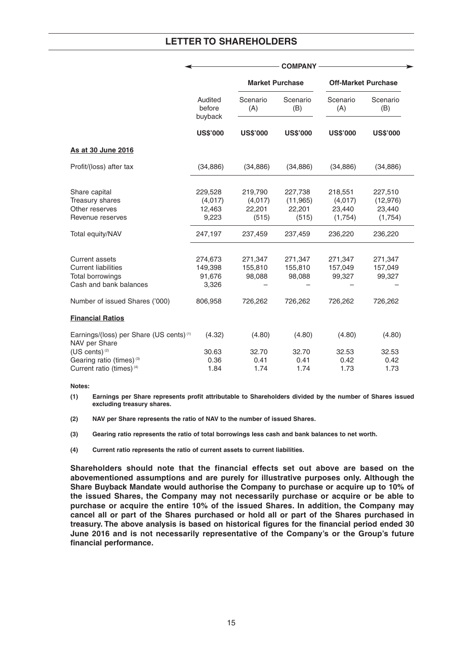|                                                                                            | <b>COMPANY</b>                        |                              |                                |                              |                                |  |
|--------------------------------------------------------------------------------------------|---------------------------------------|------------------------------|--------------------------------|------------------------------|--------------------------------|--|
|                                                                                            |                                       | <b>Market Purchase</b>       |                                | <b>Off-Market Purchase</b>   |                                |  |
|                                                                                            | Audited<br>before<br>buyback          | Scenario<br>(A)              | Scenario<br>(B)                | Scenario<br>(A)              | Scenario<br>(B)                |  |
|                                                                                            | <b>US\$'000</b>                       | <b>US\$'000</b>              | <b>US\$'000</b>                | <b>US\$'000</b>              | <b>US\$'000</b>                |  |
| As at 30 June 2016                                                                         |                                       |                              |                                |                              |                                |  |
| Profit/(loss) after tax                                                                    | (34, 886)                             | (34, 886)                    | (34, 886)                      | (34, 886)                    | (34, 886)                      |  |
| Share capital<br>Treasury shares<br>Other reserves                                         | 229,528<br>(4,017)<br>12,463          | 219,790<br>(4,017)<br>22,201 | 227,738<br>(11, 965)<br>22,201 | 218,551<br>(4,017)<br>23,440 | 227,510<br>(12, 976)<br>23,440 |  |
| Revenue reserves                                                                           | 9,223                                 | (515)                        | (515)                          | (1,754)                      | (1,754)                        |  |
| Total equity/NAV                                                                           | 247,197                               | 237,459                      | 237,459                        | 236,220                      | 236,220                        |  |
| Current assets<br><b>Current liabilities</b><br>Total borrowings<br>Cash and bank balances | 274,673<br>149,398<br>91,676<br>3,326 | 271,347<br>155,810<br>98,088 | 271,347<br>155,810<br>98,088   | 271,347<br>157,049<br>99,327 | 271,347<br>157,049<br>99,327   |  |
| Number of issued Shares ('000)                                                             | 806,958                               | 726,262                      | 726,262                        | 726,262                      | 726,262                        |  |
| <b>Financial Ratios</b>                                                                    |                                       |                              |                                |                              |                                |  |
| Earnings/(loss) per Share (US cents) <sup>(1)</sup><br>NAV per Share                       | (4.32)                                | (4.80)                       | (4.80)                         | (4.80)                       | (4.80)                         |  |
| (US cents) <sup>(2)</sup>                                                                  | 30.63                                 | 32.70                        | 32.70                          | 32.53                        | 32.53                          |  |
| Gearing ratio (times) <sup>(3)</sup>                                                       | 0.36                                  | 0.41                         | 0.41                           | 0.42                         | 0.42                           |  |
| Current ratio (times) <sup>(4)</sup>                                                       | 1.84                                  | 1.74                         | 1.74                           | 1.73                         | 1.73                           |  |

**Notes:**

**(1) Earnings per Share represents profit attributable to Shareholders divided by the number of Shares issued excluding treasury shares.**

**(2) NAV per Share represents the ratio of NAV to the number of issued Shares.**

**(3) Gearing ratio represents the ratio of total borrowings less cash and bank balances to net worth.**

**(4) Current ratio represents the ratio of current assets to current liabilities.**

**Shareholders should note that the financial effects set out above are based on the abovementioned assumptions and are purely for illustrative purposes only. Although the Share Buyback Mandate would authorise the Company to purchase or acquire up to 10% of the issued Shares, the Company may not necessarily purchase or acquire or be able to purchase or acquire the entire 10% of the issued Shares. In addition, the Company may cancel all or part of the Shares purchased or hold all or part of the Shares purchased in treasury. The above analysis is based on historical figures for the financial period ended 30 June 2016 and is not necessarily representative of the Company's or the Group's future financial performance.**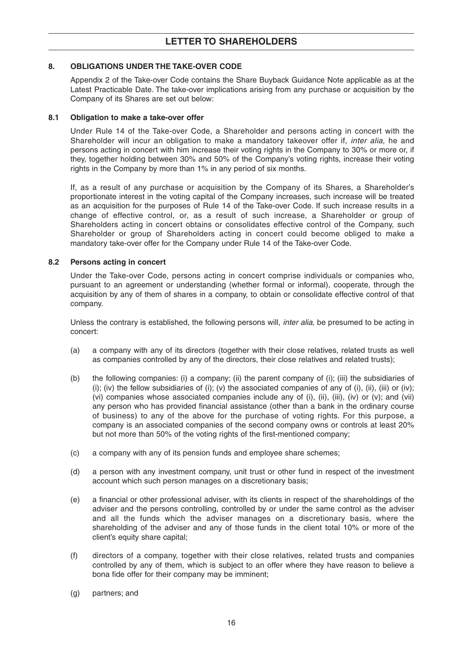## **8. OBLIGATIONS UNDER THE TAKE-OVER CODE**

Appendix 2 of the Take-over Code contains the Share Buyback Guidance Note applicable as at the Latest Practicable Date. The take-over implications arising from any purchase or acquisition by the Company of its Shares are set out below:

#### **8.1 Obligation to make a take-over offer**

Under Rule 14 of the Take-over Code, a Shareholder and persons acting in concert with the Shareholder will incur an obligation to make a mandatory takeover offer if, *inter alia*, he and persons acting in concert with him increase their voting rights in the Company to 30% or more or, if they, together holding between 30% and 50% of the Company's voting rights, increase their voting rights in the Company by more than 1% in any period of six months.

If, as a result of any purchase or acquisition by the Company of its Shares, a Shareholder's proportionate interest in the voting capital of the Company increases, such increase will be treated as an acquisition for the purposes of Rule 14 of the Take-over Code. If such increase results in a change of effective control, or, as a result of such increase, a Shareholder or group of Shareholders acting in concert obtains or consolidates effective control of the Company, such Shareholder or group of Shareholders acting in concert could become obliged to make a mandatory take-over offer for the Company under Rule 14 of the Take-over Code.

#### **8.2 Persons acting in concert**

Under the Take-over Code, persons acting in concert comprise individuals or companies who, pursuant to an agreement or understanding (whether formal or informal), cooperate, through the acquisition by any of them of shares in a company, to obtain or consolidate effective control of that company.

Unless the contrary is established, the following persons will, *inter alia*, be presumed to be acting in concert:

- (a) a company with any of its directors (together with their close relatives, related trusts as well as companies controlled by any of the directors, their close relatives and related trusts);
- (b) the following companies: (i) a company; (ii) the parent company of (i); (iii) the subsidiaries of (i); (iv) the fellow subsidiaries of (i); (v) the associated companies of any of (i), (iii), (iiii) or (iv); (vi) companies whose associated companies include any of (i), (ii), (iii), (iv) or (v); and (vii) any person who has provided financial assistance (other than a bank in the ordinary course of business) to any of the above for the purchase of voting rights. For this purpose, a company is an associated companies of the second company owns or controls at least 20% but not more than 50% of the voting rights of the first-mentioned company;
- (c) a company with any of its pension funds and employee share schemes;
- (d) a person with any investment company, unit trust or other fund in respect of the investment account which such person manages on a discretionary basis;
- (e) a financial or other professional adviser, with its clients in respect of the shareholdings of the adviser and the persons controlling, controlled by or under the same control as the adviser and all the funds which the adviser manages on a discretionary basis, where the shareholding of the adviser and any of those funds in the client total 10% or more of the client's equity share capital;
- (f) directors of a company, together with their close relatives, related trusts and companies controlled by any of them, which is subject to an offer where they have reason to believe a bona fide offer for their company may be imminent;
- (g) partners; and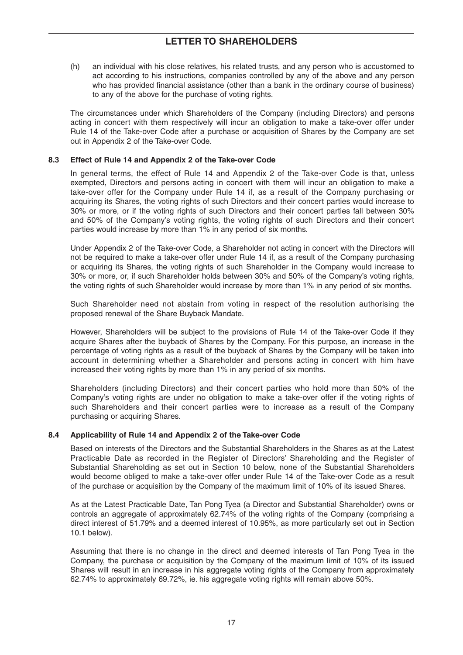(h) an individual with his close relatives, his related trusts, and any person who is accustomed to act according to his instructions, companies controlled by any of the above and any person who has provided financial assistance (other than a bank in the ordinary course of business) to any of the above for the purchase of voting rights.

The circumstances under which Shareholders of the Company (including Directors) and persons acting in concert with them respectively will incur an obligation to make a take-over offer under Rule 14 of the Take-over Code after a purchase or acquisition of Shares by the Company are set out in Appendix 2 of the Take-over Code.

#### **8.3 Effect of Rule 14 and Appendix 2 of the Take-over Code**

In general terms, the effect of Rule 14 and Appendix 2 of the Take-over Code is that, unless exempted, Directors and persons acting in concert with them will incur an obligation to make a take-over offer for the Company under Rule 14 if, as a result of the Company purchasing or acquiring its Shares, the voting rights of such Directors and their concert parties would increase to 30% or more, or if the voting rights of such Directors and their concert parties fall between 30% and 50% of the Company's voting rights, the voting rights of such Directors and their concert parties would increase by more than 1% in any period of six months.

Under Appendix 2 of the Take-over Code, a Shareholder not acting in concert with the Directors will not be required to make a take-over offer under Rule 14 if, as a result of the Company purchasing or acquiring its Shares, the voting rights of such Shareholder in the Company would increase to 30% or more, or, if such Shareholder holds between 30% and 50% of the Company's voting rights, the voting rights of such Shareholder would increase by more than 1% in any period of six months.

Such Shareholder need not abstain from voting in respect of the resolution authorising the proposed renewal of the Share Buyback Mandate.

However, Shareholders will be subject to the provisions of Rule 14 of the Take-over Code if they acquire Shares after the buyback of Shares by the Company. For this purpose, an increase in the percentage of voting rights as a result of the buyback of Shares by the Company will be taken into account in determining whether a Shareholder and persons acting in concert with him have increased their voting rights by more than 1% in any period of six months.

Shareholders (including Directors) and their concert parties who hold more than 50% of the Company's voting rights are under no obligation to make a take-over offer if the voting rights of such Shareholders and their concert parties were to increase as a result of the Company purchasing or acquiring Shares.

#### **8.4 Applicability of Rule 14 and Appendix 2 of the Take-over Code**

Based on interests of the Directors and the Substantial Shareholders in the Shares as at the Latest Practicable Date as recorded in the Register of Directors' Shareholding and the Register of Substantial Shareholding as set out in Section 10 below, none of the Substantial Shareholders would become obliged to make a take-over offer under Rule 14 of the Take-over Code as a result of the purchase or acquisition by the Company of the maximum limit of 10% of its issued Shares.

As at the Latest Practicable Date, Tan Pong Tyea (a Director and Substantial Shareholder) owns or controls an aggregate of approximately 62.74% of the voting rights of the Company (comprising a direct interest of 51.79% and a deemed interest of 10.95%, as more particularly set out in Section 10.1 below).

Assuming that there is no change in the direct and deemed interests of Tan Pong Tyea in the Company, the purchase or acquisition by the Company of the maximum limit of 10% of its issued Shares will result in an increase in his aggregate voting rights of the Company from approximately 62.74% to approximately 69.72%, ie. his aggregate voting rights will remain above 50%.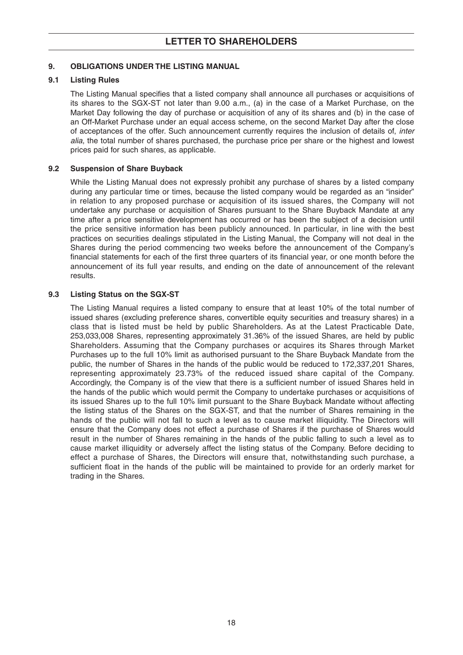## **9. OBLIGATIONS UNDER THE LISTING MANUAL**

#### **9.1 Listing Rules**

The Listing Manual specifies that a listed company shall announce all purchases or acquisitions of its shares to the SGX-ST not later than 9.00 a.m., (a) in the case of a Market Purchase, on the Market Day following the day of purchase or acquisition of any of its shares and (b) in the case of an Off-Market Purchase under an equal access scheme, on the second Market Day after the close of acceptances of the offer. Such announcement currently requires the inclusion of details of, inter alia, the total number of shares purchased, the purchase price per share or the highest and lowest prices paid for such shares, as applicable.

#### **9.2 Suspension of Share Buyback**

While the Listing Manual does not expressly prohibit any purchase of shares by a listed company during any particular time or times, because the listed company would be regarded as an "insider" in relation to any proposed purchase or acquisition of its issued shares, the Company will not undertake any purchase or acquisition of Shares pursuant to the Share Buyback Mandate at any time after a price sensitive development has occurred or has been the subject of a decision until the price sensitive information has been publicly announced. In particular, in line with the best practices on securities dealings stipulated in the Listing Manual, the Company will not deal in the Shares during the period commencing two weeks before the announcement of the Company's financial statements for each of the first three quarters of its financial year, or one month before the announcement of its full year results, and ending on the date of announcement of the relevant results.

## **9.3 Listing Status on the SGX-ST**

The Listing Manual requires a listed company to ensure that at least 10% of the total number of issued shares (excluding preference shares, convertible equity securities and treasury shares) in a class that is listed must be held by public Shareholders. As at the Latest Practicable Date, 253,033,008 Shares, representing approximately 31.36% of the issued Shares, are held by public Shareholders. Assuming that the Company purchases or acquires its Shares through Market Purchases up to the full 10% limit as authorised pursuant to the Share Buyback Mandate from the public, the number of Shares in the hands of the public would be reduced to 172,337,201 Shares, representing approximately 23.73% of the reduced issued share capital of the Company. Accordingly, the Company is of the view that there is a sufficient number of issued Shares held in the hands of the public which would permit the Company to undertake purchases or acquisitions of its issued Shares up to the full 10% limit pursuant to the Share Buyback Mandate without affecting the listing status of the Shares on the SGX-ST, and that the number of Shares remaining in the hands of the public will not fall to such a level as to cause market illiquidity. The Directors will ensure that the Company does not effect a purchase of Shares if the purchase of Shares would result in the number of Shares remaining in the hands of the public falling to such a level as to cause market illiquidity or adversely affect the listing status of the Company. Before deciding to effect a purchase of Shares, the Directors will ensure that, notwithstanding such purchase, a sufficient float in the hands of the public will be maintained to provide for an orderly market for trading in the Shares.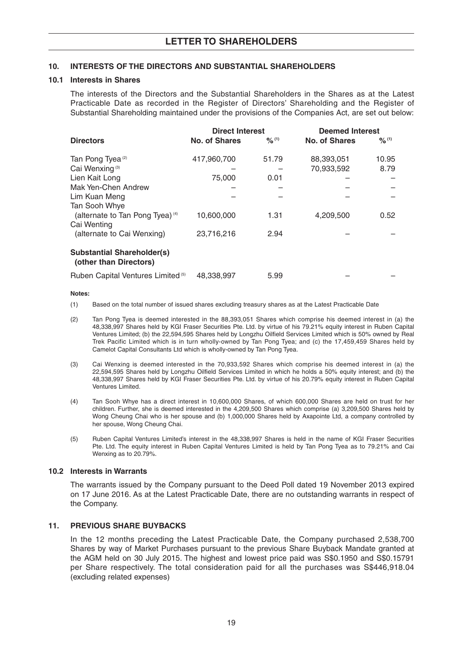#### **10. INTERESTS OF THE DIRECTORS AND SUBSTANTIAL SHAREHOLDERS**

#### **10.1 Interests in Shares**

The interests of the Directors and the Substantial Shareholders in the Shares as at the Latest Practicable Date as recorded in the Register of Directors' Shareholding and the Register of Substantial Shareholding maintained under the provisions of the Companies Act, are set out below:

|                                                             | <b>Direct Interest</b> |                   | <b>Deemed Interest</b> |                   |
|-------------------------------------------------------------|------------------------|-------------------|------------------------|-------------------|
| <b>Directors</b>                                            | <b>No. of Shares</b>   | $\frac{9}{6}$ (1) | <b>No. of Shares</b>   | $\frac{9}{6}$ (1) |
| Tan Pong Tyea <sup>(2)</sup>                                | 417,960,700            | 51.79             | 88,393,051             | 10.95             |
| Cai Wenxing <sup>(3)</sup>                                  |                        |                   | 70,933,592             | 8.79              |
| Lien Kait Long                                              | 75,000                 | 0.01              |                        |                   |
| Mak Yen-Chen Andrew                                         |                        |                   |                        |                   |
| Lim Kuan Meng                                               |                        |                   |                        |                   |
| Tan Sooh Whye                                               |                        |                   |                        |                   |
| (alternate to Tan Pong Tyea) (4)                            | 10,600,000             | 1.31              | 4,209,500              | 0.52              |
| Cai Wenting                                                 |                        |                   |                        |                   |
| (alternate to Cai Wenxing)                                  | 23,716,216             | 2.94              |                        |                   |
| <b>Substantial Shareholder(s)</b><br>(other than Directors) |                        |                   |                        |                   |
| Ruben Capital Ventures Limited <sup>(5)</sup>               | 48,338,997             | 5.99              |                        |                   |

#### **Notes:**

- (1) Based on the total number of issued shares excluding treasury shares as at the Latest Practicable Date
- (2) Tan Pong Tyea is deemed interested in the 88,393,051 Shares which comprise his deemed interest in (a) the 48,338,997 Shares held by KGI Fraser Securities Pte. Ltd. by virtue of his 79.21% equity interest in Ruben Capital Ventures Limited; (b) the 22,594,595 Shares held by Longzhu Oilfield Services Limited which is 50% owned by Real Trek Pacific Limited which is in turn wholly-owned by Tan Pong Tyea; and (c) the 17,459,459 Shares held by Camelot Capital Consultants Ltd which is wholly-owned by Tan Pong Tyea.
- (3) Cai Wenxing is deemed interested in the 70,933,592 Shares which comprise his deemed interest in (a) the 22,594,595 Shares held by Longzhu Oilfield Services Limited in which he holds a 50% equity interest; and (b) the 48,338,997 Shares held by KGI Fraser Securities Pte. Ltd. by virtue of his 20.79% equity interest in Ruben Capital Ventures Limited.
- (4) Tan Sooh Whye has a direct interest in 10,600,000 Shares, of which 600,000 Shares are held on trust for her children. Further, she is deemed interested in the 4,209,500 Shares which comprise (a) 3,209,500 Shares held by Wong Cheung Chai who is her spouse and (b) 1,000,000 Shares held by Axapointe Ltd, a company controlled by her spouse, Wong Cheung Chai.
- (5) Ruben Capital Ventures Limited's interest in the 48,338,997 Shares is held in the name of KGI Fraser Securities Pte. Ltd. The equity interest in Ruben Capital Ventures Limited is held by Tan Pong Tyea as to 79.21% and Cai Wenxing as to 20.79%.

#### **10.2 Interests in Warrants**

The warrants issued by the Company pursuant to the Deed Poll dated 19 November 2013 expired on 17 June 2016. As at the Latest Practicable Date, there are no outstanding warrants in respect of the Company.

#### **11. PREVIOUS SHARE BUYBACKS**

In the 12 months preceding the Latest Practicable Date, the Company purchased 2,538,700 Shares by way of Market Purchases pursuant to the previous Share Buyback Mandate granted at the AGM held on 30 July 2015. The highest and lowest price paid was S\$0.1950 and S\$0.15791 per Share respectively. The total consideration paid for all the purchases was S\$446,918.04 (excluding related expenses)